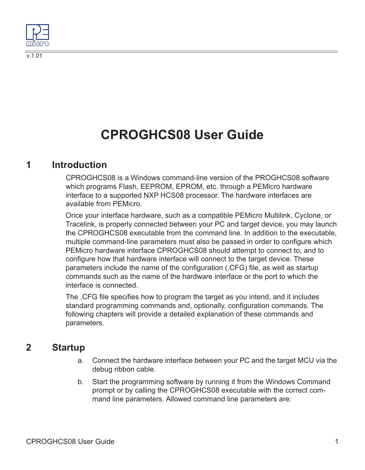

# **CPROGHCS08 User Guide**

### **1 Introduction**

CPROGHCS08 is a Windows command-line version of the PROGHCS08 software which programs Flash, EEPROM, EPROM, etc. through a PEMicro hardware interface to a supported NXP HCS08 processor. The hardware interfaces are available from PEMicro.

Once your interface hardware, such as a compatible PEMicro Multilink, Cyclone, or Tracelink, is properly connected between your PC and target device, you may launch the CPROGHCS08 executable from the command line. In addition to the executable, multiple command-line parameters must also be passed in order to configure which PEMicro hardware interface CPROGHCS08 should attempt to connect to, and to configure how that hardware interface will connect to the target device. These parameters include the name of the configuration (.CFG) file, as well as startup commands such as the name of the hardware interface or the port to which the interface is connected.

The .CFG file specifies how to program the target as you intend, and it includes standard programming commands and, optionally, configuration commands. The following chapters will provide a detailed explanation of these commands and parameters.

### **2 Startup**

- a. Connect the hardware interface between your PC and the target MCU via the debug ribbon cable.
- b. Start the programming software by running it from the Windows Command prompt or by calling the CPROGHCS08 executable with the correct command line parameters. Allowed command line parameters are: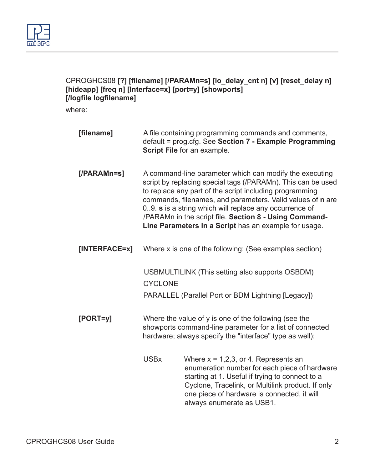

### CPROGHCS08 **[?] [filename] [/PARAMn=s] [io\_delay\_cnt n] [v] [reset\_delay n] [hideapp] [freq n] [Interface=x] [port=y] [showports] [/logfile logfilename]**

where:

| [filename]     |                                                                                                                                                                                                                                                                                                                                                                                                                               | A file containing programming commands and comments,<br>default = prog.cfg. See Section 7 - Example Programming<br>Script File for an example.                                                                                                                               |
|----------------|-------------------------------------------------------------------------------------------------------------------------------------------------------------------------------------------------------------------------------------------------------------------------------------------------------------------------------------------------------------------------------------------------------------------------------|------------------------------------------------------------------------------------------------------------------------------------------------------------------------------------------------------------------------------------------------------------------------------|
| $[$ /PARAMn=s] | A command-line parameter which can modify the executing<br>script by replacing special tags (/PARAMn). This can be used<br>to replace any part of the script including programming<br>commands, filenames, and parameters. Valid values of n are<br>09. s is a string which will replace any occurrence of<br>/PARAMn in the script file. Section 8 - Using Command-<br>Line Parameters in a Script has an example for usage. |                                                                                                                                                                                                                                                                              |
| [INTERFACE=x]  |                                                                                                                                                                                                                                                                                                                                                                                                                               | Where x is one of the following: (See examples section)                                                                                                                                                                                                                      |
|                | <b>CYCLONE</b>                                                                                                                                                                                                                                                                                                                                                                                                                | USBMULTILINK (This setting also supports OSBDM)                                                                                                                                                                                                                              |
|                |                                                                                                                                                                                                                                                                                                                                                                                                                               | PARALLEL (Parallel Port or BDM Lightning [Legacy])                                                                                                                                                                                                                           |
| $[PORT=y]$     | Where the value of y is one of the following (see the<br>showports command-line parameter for a list of connected<br>hardware; always specify the "interface" type as well):                                                                                                                                                                                                                                                  |                                                                                                                                                                                                                                                                              |
|                | <b>USBx</b>                                                                                                                                                                                                                                                                                                                                                                                                                   | Where $x = 1,2,3$ , or 4. Represents an<br>enumeration number for each piece of hardware<br>starting at 1. Useful if trying to connect to a<br>Cyclone, Tracelink, or Multilink product. If only<br>one piece of hardware is connected, it will<br>always enumerate as USB1. |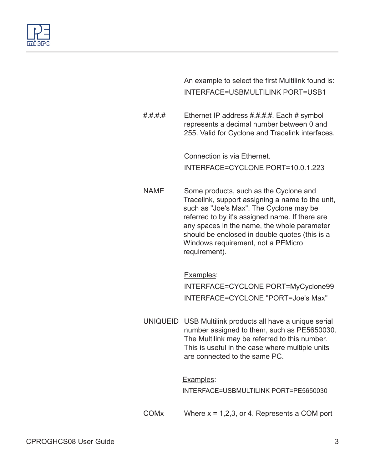

An example to select the first Multilink found is: INTERFACE=USBMULTILINK PORT=USB1

#.#.#.# Ethernet IP address #.#.#.#. Each # symbol represents a decimal number between 0 and 255. Valid for Cyclone and Tracelink interfaces.

> Connection is via Ethernet. INTERFACE=CYCLONE PORT=10.0.1.223

NAME Some products, such as the Cyclone and Tracelink, support assigning a name to the unit, such as "Joe's Max". The Cyclone may be referred to by it's assigned name. If there are any spaces in the name, the whole parameter should be enclosed in double quotes (this is a Windows requirement, not a PEMicro requirement).

Examples:

INTERFACE=CYCLONE PORT=MyCyclone99 INTERFACE=CYCLONE "PORT=Joe's Max"

UNIQUEID USB Multilink products all have a unique serial number assigned to them, such as PE5650030. The Multilink may be referred to this number. This is useful in the case where multiple units are connected to the same PC.

Examples:

INTERFACE=USBMULTILINK PORT=PE5650030

COM $x$  Where  $x = 1,2,3$ , or 4. Represents a COM port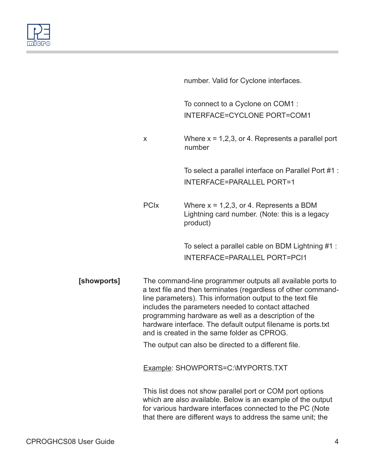

| number. Valid for Cyclone interfaces. |
|---------------------------------------|
|                                       |
|                                       |

To connect to a Cyclone on COM1 : INTERFACE=CYCLONE PORT=COM1

 $x$  Where  $x = 1,2,3$ , or 4. Represents a parallel port number

> To select a parallel interface on Parallel Port #1 : INTERFACE=PARALLEL PORT=1

PCIx Where x = 1,2,3, or 4. Represents a BDM Lightning card number. (Note: this is a legacy product)

> To select a parallel cable on BDM Lightning #1 : INTERFACE=PARALLEL PORT=PCI1

**[showports]** The command-line programmer outputs all available ports to a text file and then terminates (regardless of other commandline parameters). This information output to the text file includes the parameters needed to contact attached programming hardware as well as a description of the hardware interface. The default output filename is ports.txt and is created in the same folder as CPROG.

The output can also be directed to a different file.

Example: SHOWPORTS=C:\MYPORTS.TXT

This list does not show parallel port or COM port options which are also available. Below is an example of the output for various hardware interfaces connected to the PC (Note that there are different ways to address the same unit; the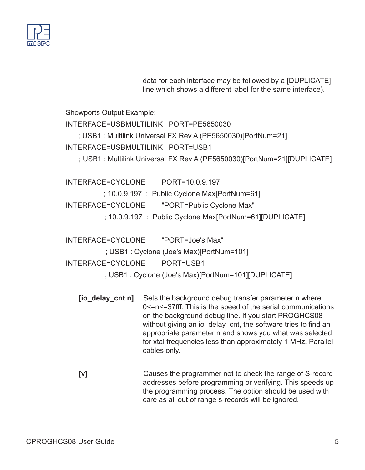

data for each interface may be followed by a [DUPLICATE] line which shows a different label for the same interface).

Showports Output Example:

INTERFACE=USBMULTILINK PORT=PE5650030 ; USB1 : Multilink Universal FX Rev A (PE5650030)[PortNum=21] INTERFACE=USBMULTILINK PORT=USB1 ; USB1 : Multilink Universal FX Rev A (PE5650030)[PortNum=21][DUPLICATE]

INTERFACE=CYCLONE PORT=10.0.9.197 ; 10.0.9.197 : Public Cyclone Max[PortNum=61] INTERFACE=CYCLONE "PORT=Public Cyclone Max" ; 10.0.9.197 : Public Cyclone Max[PortNum=61][DUPLICATE]

INTERFACE=CYCLONE "PORT=Joe's Max" ; USB1 : Cyclone (Joe's Max)[PortNum=101] INTERFACE=CYCLONE PORT=USB1 ; USB1 : Cyclone (Joe's Max)[PortNum=101][DUPLICATE]

- **[io\_delay\_cnt n]** Sets the background debug transfer parameter n where 0<=n<=\$7fff. This is the speed of the serial communications on the background debug line. If you start PROGHCS08 without giving an io delay cnt, the software tries to find an appropriate parameter n and shows you what was selected for xtal frequencies less than approximately 1 MHz. Parallel cables only.
- **[v]** Causes the programmer not to check the range of S-record addresses before programming or verifying. This speeds up the programming process. The option should be used with care as all out of range s-records will be ignored.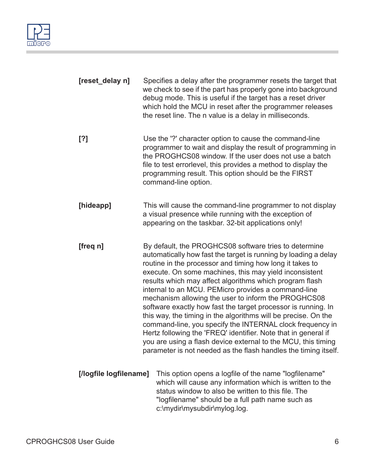

| [reset_delay n]        |                                                                                                                                                                                                                                                                                                                                                                                                                                                                                                                                                                                                                                                                                                                                                                                                                               | Specifies a delay after the programmer resets the target that<br>we check to see if the part has properly gone into background<br>debug mode. This is useful if the target has a reset driver<br>which hold the MCU in reset after the programmer releases<br>the reset line. The n value is a delay in milliseconds.            |
|------------------------|-------------------------------------------------------------------------------------------------------------------------------------------------------------------------------------------------------------------------------------------------------------------------------------------------------------------------------------------------------------------------------------------------------------------------------------------------------------------------------------------------------------------------------------------------------------------------------------------------------------------------------------------------------------------------------------------------------------------------------------------------------------------------------------------------------------------------------|----------------------------------------------------------------------------------------------------------------------------------------------------------------------------------------------------------------------------------------------------------------------------------------------------------------------------------|
| [?]                    |                                                                                                                                                                                                                                                                                                                                                                                                                                                                                                                                                                                                                                                                                                                                                                                                                               | Use the '?' character option to cause the command-line<br>programmer to wait and display the result of programming in<br>the PROGHCS08 window. If the user does not use a batch<br>file to test errorlevel, this provides a method to display the<br>programming result. This option should be the FIRST<br>command-line option. |
| [hideapp]              |                                                                                                                                                                                                                                                                                                                                                                                                                                                                                                                                                                                                                                                                                                                                                                                                                               | This will cause the command-line programmer to not display<br>a visual presence while running with the exception of<br>appearing on the taskbar. 32-bit applications only!                                                                                                                                                       |
| [freq n]               | By default, the PROGHCS08 software tries to determine<br>automatically how fast the target is running by loading a delay<br>routine in the processor and timing how long it takes to<br>execute. On some machines, this may yield inconsistent<br>results which may affect algorithms which program flash<br>internal to an MCU. PEMicro provides a command-line<br>mechanism allowing the user to inform the PROGHCS08<br>software exactly how fast the target processor is running. In<br>this way, the timing in the algorithms will be precise. On the<br>command-line, you specify the INTERNAL clock frequency in<br>Hertz following the 'FREQ' identifier. Note that in general if<br>you are using a flash device external to the MCU, this timing<br>parameter is not needed as the flash handles the timing itself. |                                                                                                                                                                                                                                                                                                                                  |
| [/logfile logfilename] |                                                                                                                                                                                                                                                                                                                                                                                                                                                                                                                                                                                                                                                                                                                                                                                                                               | This option opens a logfile of the name "logfilename"<br>which will cause any information which is written to the<br>status window to also be written to this file. The<br>"logfilename" should be a full path name such as<br>c:\mydir\mysubdir\mylog.log.                                                                      |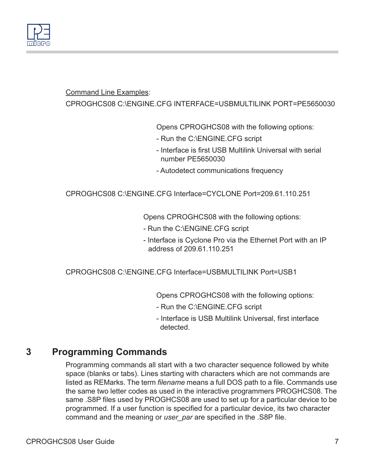

#### Command Line Examples:

CPROGHCS08 C:\ENGINE.CFG INTERFACE=USBMULTILINK PORT=PE5650030

Opens CPROGHCS08 with the following options:

- Run the C:\ENGINE.CFG script
- Interface is first USB Multilink Universal with serial number PE5650030
- Autodetect communications frequency

CPROGHCS08 C:\ENGINE.CFG Interface=CYCLONE Port=209.61.110.251

Opens CPROGHCS08 with the following options:

- Run the C:\ENGINE.CFG script
- Interface is Cyclone Pro via the Ethernet Port with an IP address of 209.61.110.251

CPROGHCS08 C:\ENGINE.CFG Interface=USBMULTILINK Port=USB1

Opens CPROGHCS08 with the following options:

- Run the C:\ENGINE.CFG script
- Interface is USB Multilink Universal, first interface detected.

# **3 Programming Commands**

Programming commands all start with a two character sequence followed by white space (blanks or tabs). Lines starting with characters which are not commands are listed as REMarks. The term *filename* means a full DOS path to a file. Commands use the same two letter codes as used in the interactive programmers PROGHCS08. The same .S8P files used by PROGHCS08 are used to set up for a particular device to be programmed. If a user function is specified for a particular device, its two character command and the meaning or *user\_par* are specified in the .S8P file.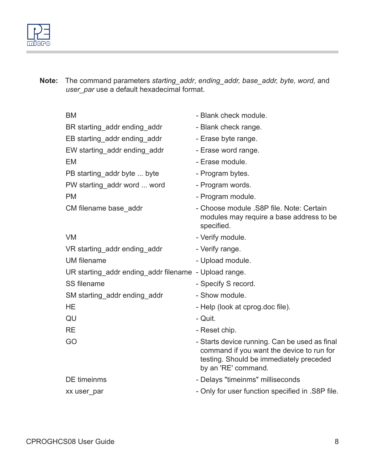

**Note:** The command parameters *starting\_addr*, *ending\_addr, base\_addr, byte, word,* and *user\_par* use a default hexadecimal format.

| BM                                                    | - Blank check module.                                                                                                                                        |
|-------------------------------------------------------|--------------------------------------------------------------------------------------------------------------------------------------------------------------|
| BR starting_addr ending_addr                          | - Blank check range.                                                                                                                                         |
| EB starting addr ending addr                          | - Erase byte range.                                                                                                                                          |
| EW starting addr ending addr                          | - Erase word range.                                                                                                                                          |
| EM                                                    | - Erase module.                                                                                                                                              |
| PB starting_addr byte  byte                           | - Program bytes.                                                                                                                                             |
| PW starting addr word  word                           | - Program words.                                                                                                                                             |
| <b>PM</b>                                             | - Program module.                                                                                                                                            |
| CM filename base_addr                                 | - Choose module .S8P file. Note: Certain<br>modules may require a base address to be<br>specified.                                                           |
| <b>VM</b>                                             | - Verify module.                                                                                                                                             |
| VR starting_addr ending_addr                          | - Verify range.                                                                                                                                              |
| UM filename                                           | - Upload module.                                                                                                                                             |
| UR starting addr ending addr filename - Upload range. |                                                                                                                                                              |
| SS filename                                           | - Specify S record.                                                                                                                                          |
| SM starting addr ending addr                          | - Show module.                                                                                                                                               |
| <b>HE</b>                                             | - Help (look at cprog.doc file).                                                                                                                             |
| QU                                                    | - Quit.                                                                                                                                                      |
| <b>RE</b>                                             | - Reset chip.                                                                                                                                                |
| GO                                                    | - Starts device running. Can be used as final<br>command if you want the device to run for<br>testing. Should be immediately preceded<br>by an 'RE' command. |
| DE timeinms                                           | - Delays "timeinms" milliseconds                                                                                                                             |
| xx user par                                           | - Only for user function specified in .S8P file.                                                                                                             |
|                                                       |                                                                                                                                                              |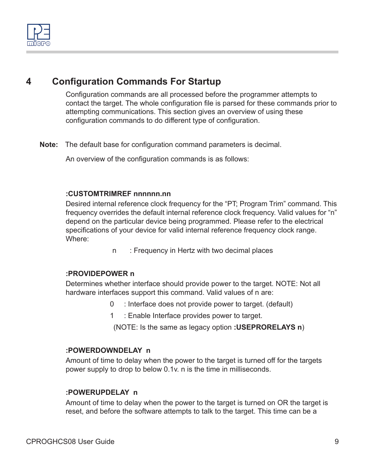

# **4 Configuration Commands For Startup**

Configuration commands are all processed before the programmer attempts to contact the target. The whole configuration file is parsed for these commands prior to attempting communications. This section gives an overview of using these configuration commands to do different type of configuration.

**Note:** The default base for configuration command parameters is decimal.

An overview of the configuration commands is as follows:

#### **:CUSTOMTRIMREF nnnnnn.nn**

Desired internal reference clock frequency for the "PT; Program Trim" command. This frequency overrides the default internal reference clock frequency. Valid values for "n" depend on the particular device being programmed. Please refer to the electrical specifications of your device for valid internal reference frequency clock range. Where:

n : Frequency in Hertz with two decimal places

#### **:PROVIDEPOWER n**

Determines whether interface should provide power to the target. NOTE: Not all hardware interfaces support this command. Valid values of n are:

- 0 : Interface does not provide power to target. (default)
- 1 : Enable Interface provides power to target.

(NOTE: Is the same as legacy option **:USEPRORELAYS n**)

#### **:POWERDOWNDELAY n**

Amount of time to delay when the power to the target is turned off for the targets power supply to drop to below 0.1v. n is the time in milliseconds.

#### **:POWERUPDELAY n**

Amount of time to delay when the power to the target is turned on OR the target is reset, and before the software attempts to talk to the target. This time can be a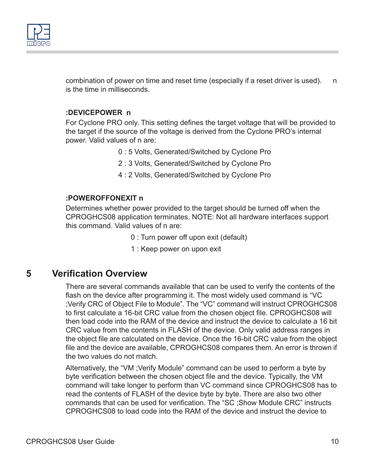

combination of power on time and reset time (especially if a reset driver is used). n is the time in milliseconds.

#### **:DEVICEPOWER n**

For Cyclone PRO only. This setting defines the target voltage that will be provided to the target if the source of the voltage is derived from the Cyclone PRO's internal power. Valid values of n are:

- 0 : 5 Volts, Generated/Switched by Cyclone Pro
- 2 : 3 Volts, Generated/Switched by Cyclone Pro
- 4 : 2 Volts, Generated/Switched by Cyclone Pro

#### **:POWEROFFONEXIT n**

Determines whether power provided to the target should be turned off when the CPROGHCS08 application terminates. NOTE: Not all hardware interfaces support this command. Valid values of n are:

- 0 : Turn power off upon exit (default)
- 1 : Keep power on upon exit

### **5 Verification Overview**

There are several commands available that can be used to verify the contents of the flash on the device after programming it. The most widely used command is "VC ;Verify CRC of Object File to Module". The "VC" command will instruct CPROGHCS08 to first calculate a 16-bit CRC value from the chosen object file. CPROGHCS08 will then load code into the RAM of the device and instruct the device to calculate a 16 bit CRC value from the contents in FLASH of the device. Only valid address ranges in the object file are calculated on the device. Once the 16-bit CRC value from the object file and the device are available, CPROGHCS08 compares them. An error is thrown if the two values do not match.

Alternatively, the "VM ;Verify Module" command can be used to perform a byte by byte verification between the chosen object file and the device. Typically, the VM command will take longer to perform than VC command since CPROGHCS08 has to read the contents of FLASH of the device byte by byte. There are also two other commands that can be used for verification. The "SC ;Show Module CRC" instructs CPROGHCS08 to load code into the RAM of the device and instruct the device to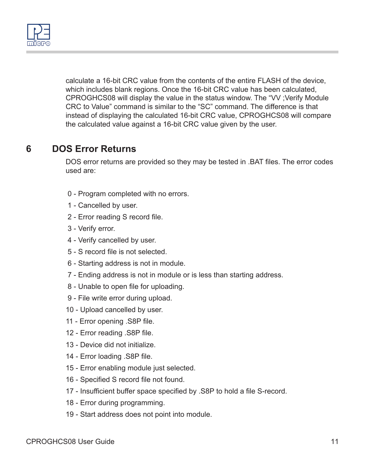

calculate a 16-bit CRC value from the contents of the entire FLASH of the device, which includes blank regions. Once the 16-bit CRC value has been calculated, CPROGHCS08 will display the value in the status window. The "VV ;Verify Module CRC to Value" command is similar to the "SC" command. The difference is that instead of displaying the calculated 16-bit CRC value, CPROGHCS08 will compare the calculated value against a 16-bit CRC value given by the user.

### **6 DOS Error Returns**

DOS error returns are provided so they may be tested in .BAT files. The error codes used are:

- 0 Program completed with no errors.
- 1 Cancelled by user.
- 2 Error reading S record file.
- 3 Verify error.
- 4 Verify cancelled by user.
- 5 S record file is not selected.
- 6 Starting address is not in module.
- 7 Ending address is not in module or is less than starting address.
- 8 Unable to open file for uploading.
- 9 File write error during upload.
- 10 Upload cancelled by user.
- 11 Error opening .S8P file.
- 12 Error reading .S8P file.
- 13 Device did not initialize.
- 14 Error loading .S8P file.
- 15 Error enabling module just selected.
- 16 Specified S record file not found.
- 17 Insufficient buffer space specified by .S8P to hold a file S-record.
- 18 Error during programming.
- 19 Start address does not point into module.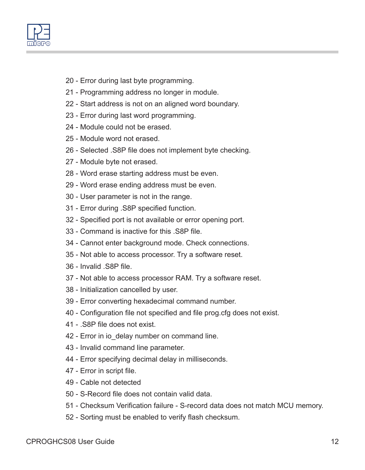- 20 Error during last byte programming.
- 21 Programming address no longer in module.
- 22 Start address is not on an aligned word boundary.
- 23 Error during last word programming.
- 24 Module could not be erased.
- 25 Module word not erased.
- 26 Selected .S8P file does not implement byte checking.
- 27 Module byte not erased.
- 28 Word erase starting address must be even.
- 29 Word erase ending address must be even.
- 30 User parameter is not in the range.
- 31 Error during .S8P specified function.
- 32 Specified port is not available or error opening port.
- 33 Command is inactive for this .S8P file.
- 34 Cannot enter background mode. Check connections.
- 35 Not able to access processor. Try a software reset.
- 36 Invalid .S8P file.
- 37 Not able to access processor RAM. Try a software reset.
- 38 Initialization cancelled by user.
- 39 Error converting hexadecimal command number.
- 40 Configuration file not specified and file prog.cfg does not exist.
- 41 .S8P file does not exist.
- 42 Error in io\_delay number on command line.
- 43 Invalid command line parameter.
- 44 Error specifying decimal delay in milliseconds.
- 47 Error in script file.
- 49 Cable not detected
- 50 S-Record file does not contain valid data.
- 51 Checksum Verification failure S-record data does not match MCU memory.
- 52 Sorting must be enabled to verify flash checksum.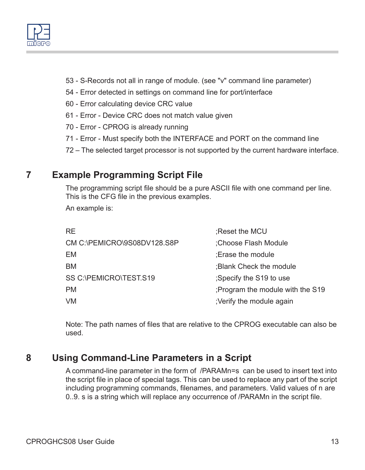

- 53 S-Records not all in range of module. (see "v" command line parameter)
- 54 Error detected in settings on command line for port/interface
- 60 Error calculating device CRC value
- 61 Error Device CRC does not match value given
- 70 Error CPROG is already running
- 71 Error Must specify both the INTERFACE and PORT on the command line
- 72 The selected target processor is not supported by the current hardware interface.

# <span id="page-12-0"></span>**7 Example Programming Script File**

The programming script file should be a pure ASCII file with one command per line. This is the CFG file in the previous examples.

An example is:

| RE                          | Reset the MCU                    |
|-----------------------------|----------------------------------|
| CM C:\PEMICRO\9S08DV128.S8P | :Choose Flash Module             |
| EМ                          | :Erase the module                |
| ВM                          | ; Blank Check the module         |
| SS C:\PEMICRO\TEST.S19      | Specify the S19 to use           |
| РM                          | ;Program the module with the S19 |
| VM                          | ;Verify the module again         |

Note: The path names of files that are relative to the CPROG executable can also be used.

# <span id="page-12-1"></span>**8 Using Command-Line Parameters in a Script**

A command-line parameter in the form of /PARAMn=s can be used to insert text into the script file in place of special tags. This can be used to replace any part of the script including programming commands, filenames, and parameters. Valid values of n are 0..9. s is a string which will replace any occurrence of /PARAMn in the script file.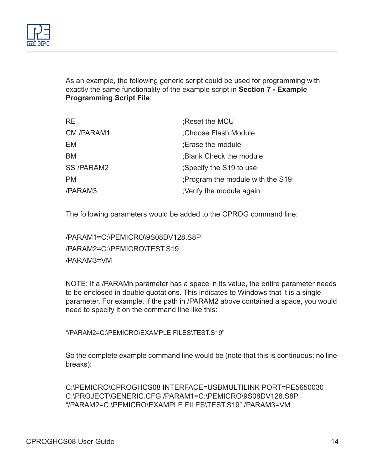

As an example, the following generic script could be used for programming with exactly the same functionality of the example script in **[Section 7 - Example](#page-12-0)  [Programming Script File](#page-12-0)**:

| <b>RE</b>        | Reset the MCU                   |
|------------------|---------------------------------|
| CM /PARAM1       | Choose Flash Module             |
| EM               | : Erase the module              |
| BM               | ; Blank Check the module        |
| <b>SS/PARAM2</b> | ;Specify the S19 to use         |
| <b>PM</b>        | Program the module with the S19 |
| /PARAM3          | ;Verify the module again        |

The following parameters would be added to the CPROG command line:

/PARAM1=C:\PEMICRO\9S08DV128.S8P /PARAM2=C:\PEMICRO\TEST.S19 /PARAM3=VM

NOTE: If a /PARAMn parameter has a space in its value, the entire parameter needs to be enclosed in double quotations. This indicates to Windows that it is a single parameter. For example, if the path in /PARAM2 above contained a space, you would need to specify it on the command line like this:

"/PARAM2=C:\PFMICRO\FXAMPLE FILES\TEST.S19"

So the complete example command line would be (note that this is continuous; no line breaks):

C:\PEMICRO\CPROGHCS08 INTERFACE=USBMULTILINK PORT=PE5650030 C:\PROJECT\GENERIC.CFG /PARAM1=C:\PEMICRO\9S08DV128.S8P "/PARAM2=C:\PEMICRO\EXAMPLE FILES\TEST.S19" /PARAM3=VM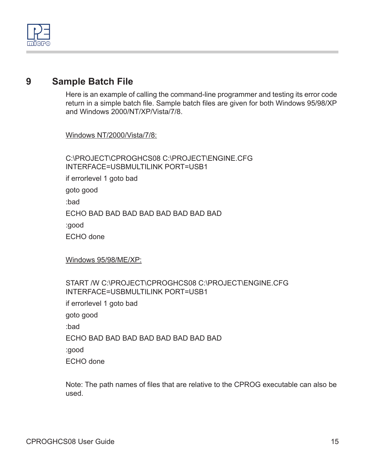

## **9 Sample Batch File**

Here is an example of calling the command-line programmer and testing its error code return in a simple batch file. Sample batch files are given for both Windows 95/98/XP and Windows 2000/NT/XP/Vista/7/8.

Windows NT/2000/Vista/7/8:

C:\PROJECT\CPROGHCS08 C:\PROJECT\ENGINE.CFG INTERFACE=USBMULTILINK PORT=USB1 if errorlevel 1 goto bad goto good :bad ECHO BAD BAD BAD BAD BAD BAD BAD BAD :good ECHO done

Windows 95/98/ME/XP:

#### START /W C:\PROJECT\CPROGHCS08 C:\PROJECT\ENGINE.CFG INTERFACE=USBMULTILINK PORT=USB1

if errorlevel 1 goto bad goto good :bad ECHO BAD BAD BAD BAD BAD BAD BAD BAD :good ECHO done

Note: The path names of files that are relative to the CPROG executable can also be used.